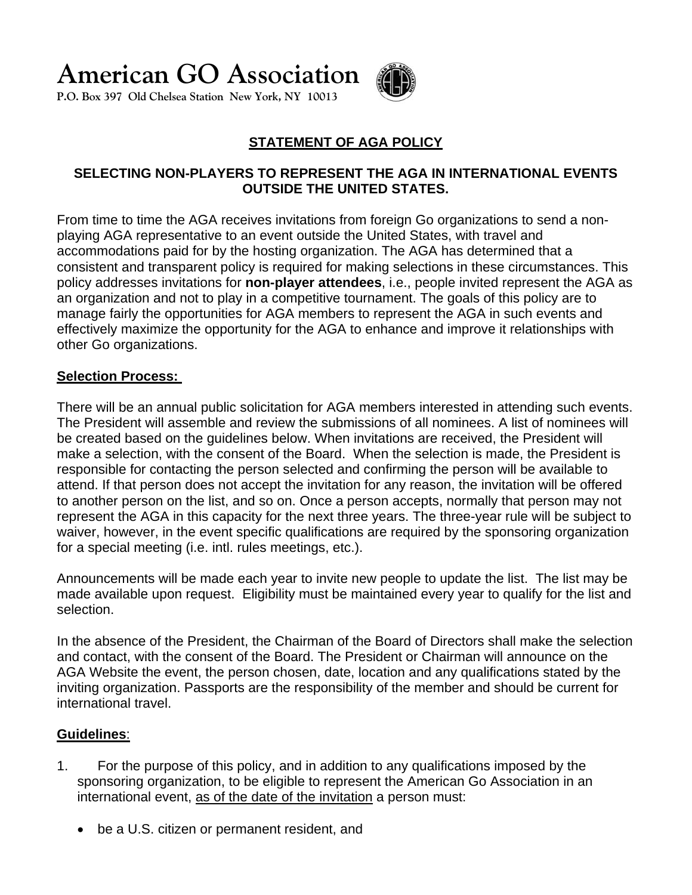**American GO Association**

**P.O. Box 397 Old Chelsea Station New York, NY 10013** 



## **STATEMENT OF AGA POLICY**

### **SELECTING NON-PLAYERS TO REPRESENT THE AGA IN INTERNATIONAL EVENTS OUTSIDE THE UNITED STATES.**

From time to time the AGA receives invitations from foreign Go organizations to send a nonplaying AGA representative to an event outside the United States, with travel and accommodations paid for by the hosting organization. The AGA has determined that a consistent and transparent policy is required for making selections in these circumstances. This policy addresses invitations for **non-player attendees**, i.e., people invited represent the AGA as an organization and not to play in a competitive tournament. The goals of this policy are to manage fairly the opportunities for AGA members to represent the AGA in such events and effectively maximize the opportunity for the AGA to enhance and improve it relationships with other Go organizations.

#### **Selection Process:**

There will be an annual public solicitation for AGA members interested in attending such events. The President will assemble and review the submissions of all nominees. A list of nominees will be created based on the guidelines below. When invitations are received, the President will make a selection, with the consent of the Board. When the selection is made, the President is responsible for contacting the person selected and confirming the person will be available to attend. If that person does not accept the invitation for any reason, the invitation will be offered to another person on the list, and so on. Once a person accepts, normally that person may not represent the AGA in this capacity for the next three years. The three-year rule will be subject to waiver, however, in the event specific qualifications are required by the sponsoring organization for a special meeting (i.e. intl. rules meetings, etc.).

Announcements will be made each year to invite new people to update the list. The list may be made available upon request. Eligibility must be maintained every year to qualify for the list and selection.

In the absence of the President, the Chairman of the Board of Directors shall make the selection and contact, with the consent of the Board. The President or Chairman will announce on the AGA Website the event, the person chosen, date, location and any qualifications stated by the inviting organization. Passports are the responsibility of the member and should be current for international travel.

#### **Guidelines**:

- 1. For the purpose of this policy, and in addition to any qualifications imposed by the sponsoring organization, to be eligible to represent the American Go Association in an international event, as of the date of the invitation a person must:
	- be a U.S. citizen or permanent resident, and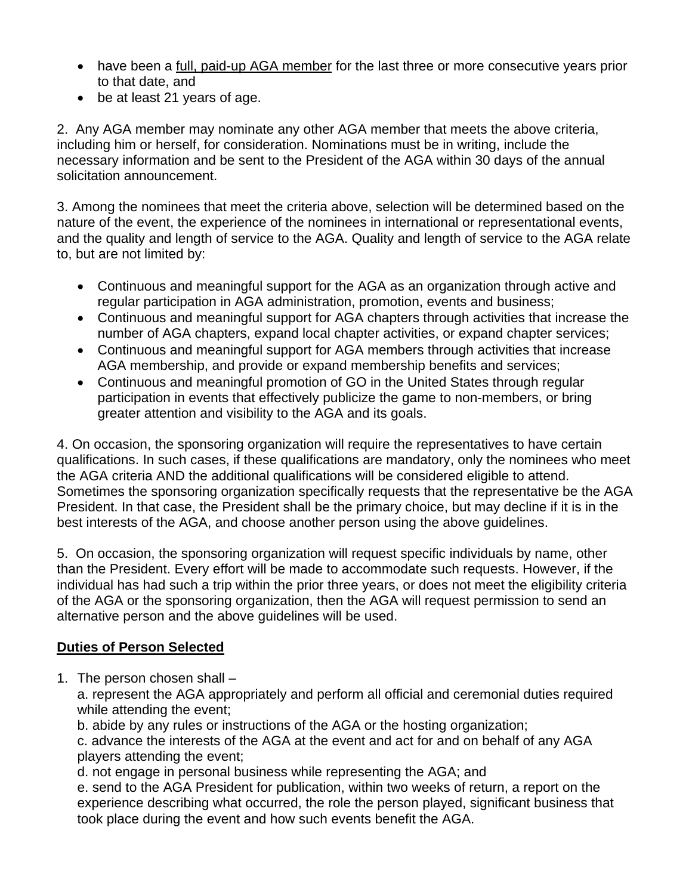- have been a full, paid-up AGA member for the last three or more consecutive years prior to that date, and
- be at least 21 years of age.

2. Any AGA member may nominate any other AGA member that meets the above criteria, including him or herself, for consideration. Nominations must be in writing, include the necessary information and be sent to the President of the AGA within 30 days of the annual solicitation announcement.

3. Among the nominees that meet the criteria above, selection will be determined based on the nature of the event, the experience of the nominees in international or representational events, and the quality and length of service to the AGA. Quality and length of service to the AGA relate to, but are not limited by:

- Continuous and meaningful support for the AGA as an organization through active and regular participation in AGA administration, promotion, events and business;
- Continuous and meaningful support for AGA chapters through activities that increase the number of AGA chapters, expand local chapter activities, or expand chapter services;
- Continuous and meaningful support for AGA members through activities that increase AGA membership, and provide or expand membership benefits and services;
- Continuous and meaningful promotion of GO in the United States through regular participation in events that effectively publicize the game to non-members, or bring greater attention and visibility to the AGA and its goals.

4. On occasion, the sponsoring organization will require the representatives to have certain qualifications. In such cases, if these qualifications are mandatory, only the nominees who meet the AGA criteria AND the additional qualifications will be considered eligible to attend. Sometimes the sponsoring organization specifically requests that the representative be the AGA President. In that case, the President shall be the primary choice, but may decline if it is in the best interests of the AGA, and choose another person using the above guidelines.

5. On occasion, the sponsoring organization will request specific individuals by name, other than the President. Every effort will be made to accommodate such requests. However, if the individual has had such a trip within the prior three years, or does not meet the eligibility criteria of the AGA or the sponsoring organization, then the AGA will request permission to send an alternative person and the above guidelines will be used.

# **Duties of Person Selected**

1. The person chosen shall –

a. represent the AGA appropriately and perform all official and ceremonial duties required while attending the event;

b. abide by any rules or instructions of the AGA or the hosting organization;

c. advance the interests of the AGA at the event and act for and on behalf of any AGA players attending the event;

d. not engage in personal business while representing the AGA; and

e. send to the AGA President for publication, within two weeks of return, a report on the experience describing what occurred, the role the person played, significant business that took place during the event and how such events benefit the AGA.